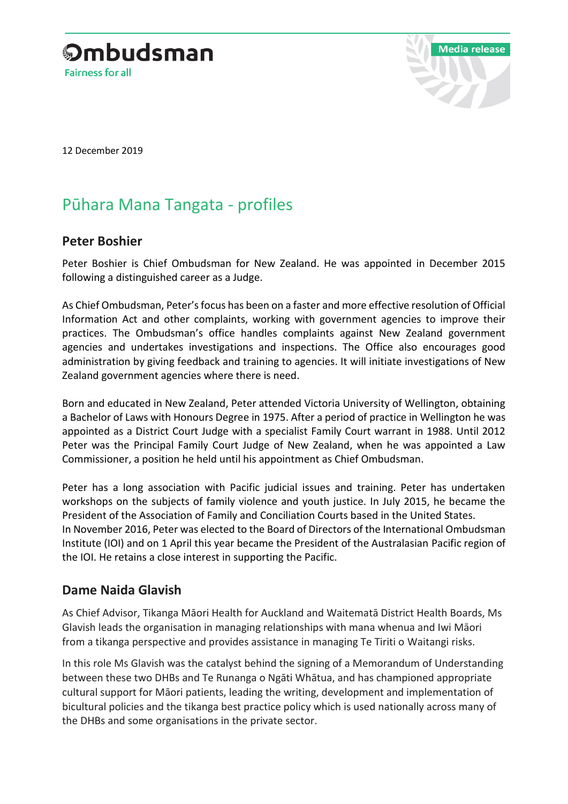



12 December 2019

# Pūhara Mana Tangata - profiles

# **Peter Boshier**

Peter Boshier is Chief Ombudsman for New Zealand. He was appointed in December 2015 following a distinguished career as a Judge.

As Chief Ombudsman, Peter's focus has been on a faster and more effective resolution of Official Information Act and other complaints, working with government agencies to improve their practices. The Ombudsman's office handles complaints against New Zealand government agencies and undertakes investigations and inspections. The Office also encourages good administration by giving feedback and training to agencies. It will initiate investigations of New Zealand government agencies where there is need.

Born and educated in New Zealand, Peter attended Victoria University of Wellington, obtaining a Bachelor of Laws with Honours Degree in 1975. After a period of practice in Wellington he was appointed as a District Court Judge with a specialist Family Court warrant in 1988. Until 2012 Peter was the Principal Family Court Judge of New Zealand, when he was appointed a Law Commissioner, a position he held until his appointment as Chief Ombudsman.

Peter has a long association with Pacific judicial issues and training. Peter has undertaken workshops on the subjects of family violence and youth justice. In July 2015, he became the President of the Association of Family and Conciliation Courts based in the United States. In November 2016, Peter was elected to the Board of Directors of the International Ombudsman Institute (IOI) and on 1 April this year became the President of the Australasian Pacific region of the IOI. He retains a close interest in supporting the Pacific.

# **Dame Naida Glavish**

As Chief Advisor, Tikanga Māori Health for Auckland and Waitematā District Health Boards, Ms Glavish leads the organisation in managing relationships with mana whenua and Iwi Māori from a tikanga perspective and provides assistance in managing Te Tiriti o Waitangi risks.

In this role Ms Glavish was the catalyst behind the signing of a Memorandum of Understanding between these two DHBs and Te Runanga o Ngāti Whātua, and has championed appropriate cultural support for Māori patients, leading the writing, development and implementation of bicultural policies and the tikanga best practice policy which is used nationally across many of the DHBs and some organisations in the private sector.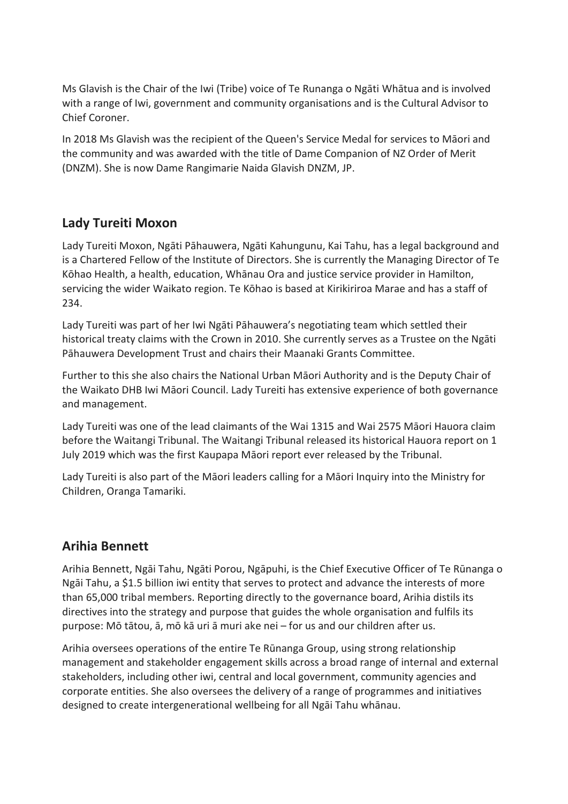Ms Glavish is the Chair of the Iwi (Tribe) voice of Te Runanga o Ngāti Whātua and is involved with a range of Iwi, government and community organisations and is the Cultural Advisor to Chief Coroner.

In 2018 Ms Glavish was the recipient of the Queen's Service Medal for services to Māori and the community and was awarded with the title of Dame Companion of NZ Order of Merit (DNZM). She is now Dame Rangimarie Naida Glavish DNZM, JP.

# **Lady Tureiti Moxon**

Lady Tureiti Moxon, Ngāti Pāhauwera, Ngāti Kahungunu, Kai Tahu, has a legal background and is a Chartered Fellow of the Institute of Directors. She is currently the Managing Director of Te Kōhao Health, a health, education, Whānau Ora and justice service provider in Hamilton, servicing the wider Waikato region. Te Kōhao is based at Kirikiriroa Marae and has a staff of 234.

Lady Tureiti was part of her Iwi Ngāti Pāhauwera's negotiating team which settled their historical treaty claims with the Crown in 2010. She currently serves as a Trustee on the Ngāti Pāhauwera Development Trust and chairs their Maanaki Grants Committee.

Further to this she also chairs the National Urban Māori Authority and is the Deputy Chair of the Waikato DHB Iwi Māori Council. Lady Tureiti has extensive experience of both governance and management.

Lady Tureiti was one of the lead claimants of the Wai 1315 and Wai 2575 Māori Hauora claim before the Waitangi Tribunal. The Waitangi Tribunal released its historical Hauora report on 1 July 2019 which was the first Kaupapa Māori report ever released by the Tribunal.

Lady Tureiti is also part of the Māori leaders calling for a Māori Inquiry into the Ministry for Children, Oranga Tamariki.

# **Arihia Bennett**

Arihia Bennett, Ngāi Tahu, Ngāti Porou, Ngāpuhi, is the Chief Executive Officer of Te Rūnanga o Ngāi Tahu, a \$1.5 billion iwi entity that serves to protect and advance the interests of more than 65,000 tribal members. Reporting directly to the governance board, Arihia distils its directives into the strategy and purpose that guides the whole organisation and fulfils its purpose: Mō tātou, ā, mō kā uri ā muri ake nei – for us and our children after us.

Arihia oversees operations of the entire Te Rūnanga Group, using strong relationship management and stakeholder engagement skills across a broad range of internal and external stakeholders, including other iwi, central and local government, community agencies and corporate entities. She also oversees the delivery of a range of programmes and initiatives designed to create intergenerational wellbeing for all Ngāi Tahu whānau.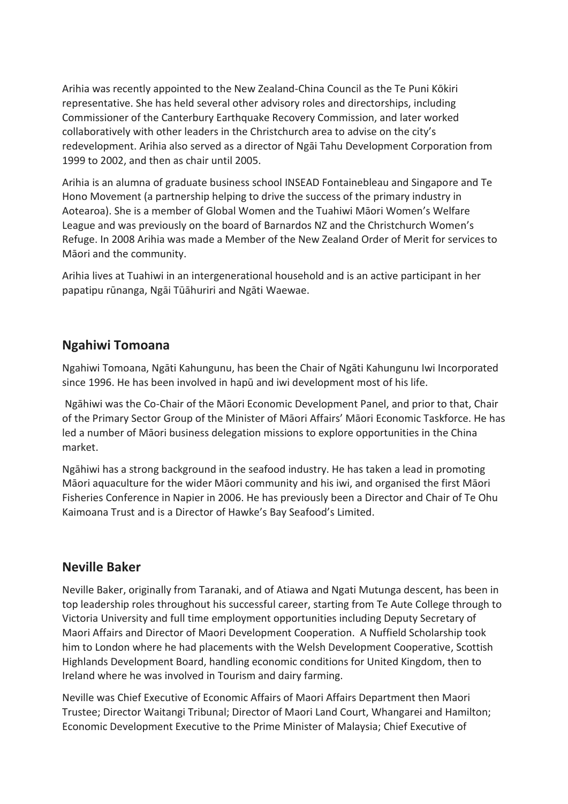Arihia was recently appointed to the New Zealand-China Council as the Te Puni Kōkiri representative. She has held several other advisory roles and directorships, including Commissioner of the Canterbury Earthquake Recovery Commission, and later worked collaboratively with other leaders in the Christchurch area to advise on the city's redevelopment. Arihia also served as a director of Ngāi Tahu Development Corporation from 1999 to 2002, and then as chair until 2005.

Arihia is an alumna of graduate business school INSEAD Fontainebleau and Singapore and Te Hono Movement (a partnership helping to drive the success of the primary industry in Aotearoa). She is a member of Global Women and the Tuahiwi Māori Women's Welfare League and was previously on the board of Barnardos NZ and the Christchurch Women's Refuge. In 2008 Arihia was made a Member of the New Zealand Order of Merit for services to Māori and the community.

Arihia lives at Tuahiwi in an intergenerational household and is an active participant in her papatipu rūnanga, Ngāi Tūāhuriri and Ngāti Waewae.

# **Ngahiwi Tomoana**

Ngahiwi Tomoana, Ngāti Kahungunu, has been the Chair of Ngāti Kahungunu Iwi Incorporated since 1996. He has been involved in hapū and iwi development most of his life.

Ngāhiwi was the Co-Chair of the Māori Economic Development Panel, and prior to that, Chair of the Primary Sector Group of the Minister of Māori Affairs' Māori Economic Taskforce. He has led a number of Māori business delegation missions to explore opportunities in the China market.

Ngāhiwi has a strong background in the seafood industry. He has taken a lead in promoting Māori aquaculture for the wider Māori community and his iwi, and organised the first Māori Fisheries Conference in Napier in 2006. He has previously been a Director and Chair of Te Ohu Kaimoana Trust and is a Director of Hawke's Bay Seafood's Limited.

#### **Neville Baker**

Neville Baker, originally from Taranaki, and of Atiawa and Ngati Mutunga descent, has been in top leadership roles throughout his successful career, starting from Te Aute College through to Victoria University and full time employment opportunities including Deputy Secretary of Maori Affairs and Director of Maori Development Cooperation. A Nuffield Scholarship took him to London where he had placements with the Welsh Development Cooperative, Scottish Highlands Development Board, handling economic conditions for United Kingdom, then to Ireland where he was involved in Tourism and dairy farming.

Neville was Chief Executive of Economic Affairs of Maori Affairs Department then Maori Trustee; Director Waitangi Tribunal; Director of Maori Land Court, Whangarei and Hamilton; Economic Development Executive to the Prime Minister of Malaysia; Chief Executive of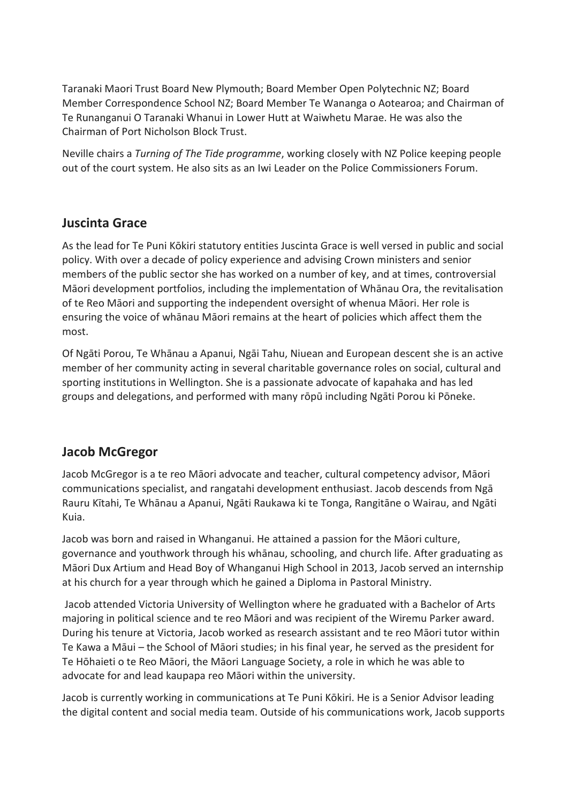Taranaki Maori Trust Board New Plymouth; Board Member Open Polytechnic NZ; Board Member Correspondence School NZ; Board Member Te Wananga o Aotearoa; and Chairman of Te Runanganui O Taranaki Whanui in Lower Hutt at Waiwhetu Marae. He was also the Chairman of Port Nicholson Block Trust.

Neville chairs a *Turning of The Tide programme*, working closely with NZ Police keeping people out of the court system. He also sits as an Iwi Leader on the Police Commissioners Forum.

# **Juscinta Grace**

As the lead for Te Puni Kōkiri statutory entities Juscinta Grace is well versed in public and social policy. With over a decade of policy experience and advising Crown ministers and senior members of the public sector she has worked on a number of key, and at times, controversial Māori development portfolios, including the implementation of Whānau Ora, the revitalisation of te Reo Māori and supporting the independent oversight of whenua Māori. Her role is ensuring the voice of whānau Māori remains at the heart of policies which affect them the most.

Of Ngāti Porou, Te Whānau a Apanui, Ngāi Tahu, Niuean and European descent she is an active member of her community acting in several charitable governance roles on social, cultural and sporting institutions in Wellington. She is a passionate advocate of kapahaka and has led groups and delegations, and performed with many rōpū including Ngāti Porou ki Pōneke.

# **Jacob McGregor**

Jacob McGregor is a te reo Māori advocate and teacher, cultural competency advisor, Māori communications specialist, and rangatahi development enthusiast. Jacob descends from Ngā Rauru Kītahi, Te Whānau a Apanui, Ngāti Raukawa ki te Tonga, Rangitāne o Wairau, and Ngāti Kuia.

Jacob was born and raised in Whanganui. He attained a passion for the Māori culture, governance and youthwork through his whānau, schooling, and church life. After graduating as Māori Dux Artium and Head Boy of Whanganui High School in 2013, Jacob served an internship at his church for a year through which he gained a Diploma in Pastoral Ministry.

Jacob attended Victoria University of Wellington where he graduated with a Bachelor of Arts majoring in political science and te reo Māori and was recipient of the Wiremu Parker award. During his tenure at Victoria, Jacob worked as research assistant and te reo Māori tutor within Te Kawa a Māui – the School of Māori studies; in his final year, he served as the president for Te Hōhaieti o te Reo Māori, the Māori Language Society, a role in which he was able to advocate for and lead kaupapa reo Māori within the university.

Jacob is currently working in communications at Te Puni Kōkiri. He is a Senior Advisor leading the digital content and social media team. Outside of his communications work, Jacob supports